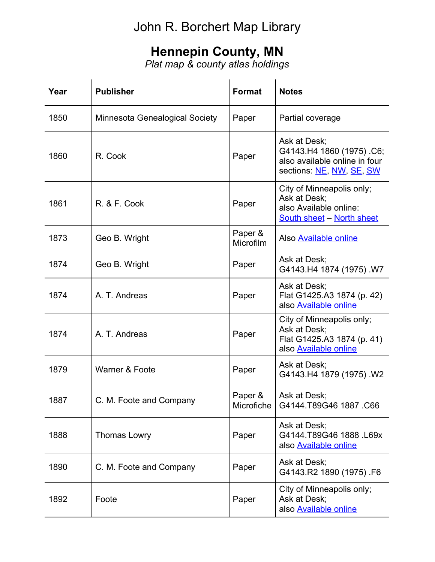## John R. Borchert Map Library

## **Hennepin County, MN**

*Plat map & county atlas holdings*

| Year | <b>Publisher</b>                      | <b>Format</b>         | <b>Notes</b>                                                                                            |
|------|---------------------------------------|-----------------------|---------------------------------------------------------------------------------------------------------|
| 1850 | <b>Minnesota Genealogical Society</b> | Paper                 | Partial coverage                                                                                        |
| 1860 | R. Cook                               | Paper                 | Ask at Desk;<br>G4143.H4 1860 (1975) .C6;<br>also available online in four<br>sections: NE, NW, SE, SW  |
| 1861 | R. & F. Cook                          | Paper                 | City of Minneapolis only;<br>Ask at Desk;<br>also Available online:<br><b>South sheet - North sheet</b> |
| 1873 | Geo B. Wright                         | Paper &<br>Microfilm  | Also <b>Available online</b>                                                                            |
| 1874 | Geo B. Wright                         | Paper                 | Ask at Desk;<br>G4143.H4 1874 (1975) .W7                                                                |
| 1874 | A. T. Andreas                         | Paper                 | Ask at Desk;<br>Flat G1425.A3 1874 (p. 42)<br>also Available online                                     |
| 1874 | A. T. Andreas                         | Paper                 | City of Minneapolis only;<br>Ask at Desk;<br>Flat G1425.A3 1874 (p. 41)<br>also Available online        |
| 1879 | Warner & Foote                        | Paper                 | Ask at Desk;<br>G4143.H4 1879 (1975) .W2                                                                |
| 1887 | C. M. Foote and Company               | Paper &<br>Microfiche | Ask at Desk;<br>G4144.T89G46 1887 C66                                                                   |
| 1888 | <b>Thomas Lowry</b>                   | Paper                 | Ask at Desk;<br>G4144.T89G46 1888 .L69x<br>also Available online                                        |
| 1890 | C. M. Foote and Company               | Paper                 | Ask at Desk;<br>G4143.R2 1890 (1975) .F6                                                                |
| 1892 | Foote                                 | Paper                 | City of Minneapolis only;<br>Ask at Desk;<br>also <b>Available online</b>                               |